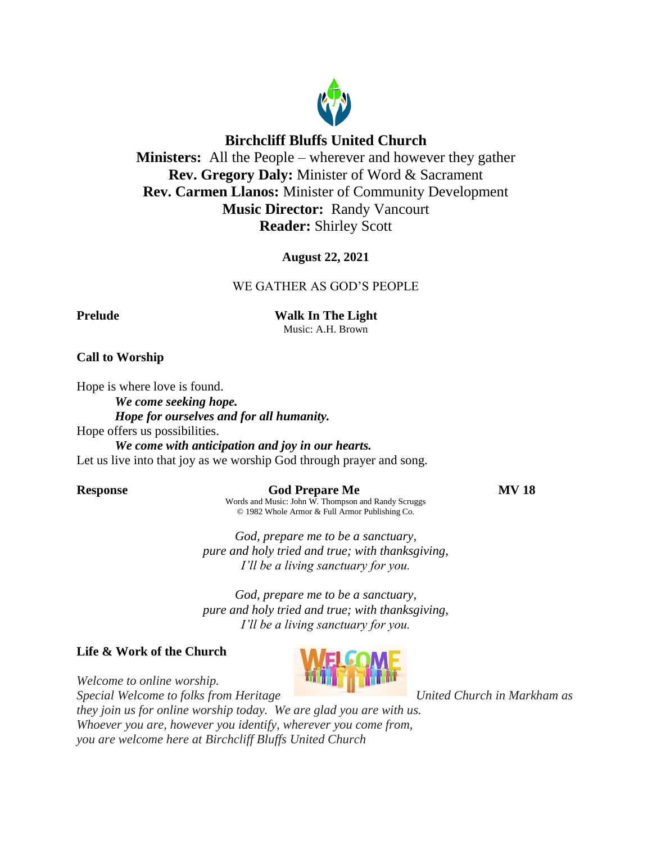

# **Birchcliff Bluffs United Church**

**Ministers:** All the People – wherever and however they gather **Rev. Gregory Daly:** Minister of Word & Sacrament **Rev. Carmen Llanos:** Minister of Community Development **Music Director:** Randy Vancourt **Reader:** Shirley Scott

**August 22, 2021**

# WE GATHER AS GOD'S PEOPLE

**Prelude Walk In The Light** Music: A.H. Brown

## **Call to Worship**

Hope is where love is found.

*We come seeking hope. Hope for ourselves and for all humanity.*

Hope offers us possibilities.

*We come with anticipation and joy in our hearts.* Let us live into that joy as we worship God through prayer and song.

### **Response God Prepare Me MV 18**

Words and Music: John W. Thompson and Randy Scruggs © 1982 Whole Armor & Full Armor Publishing Co.

*God, prepare me to be a sanctuary, pure and holy tried and true; with thanksgiving, I'll be a living sanctuary for you.*

*God, prepare me to be a sanctuary, pure and holy tried and true; with thanksgiving, I'll be a living sanctuary for you.*

# **Life & Work of the Church**

*Welcome to online worship. Special Welcome to folks from Heritage* United Church in Markham as



*they join us for online worship today. We are glad you are with us. Whoever you are, however you identify, wherever you come from, you are welcome here at Birchcliff Bluffs United Church*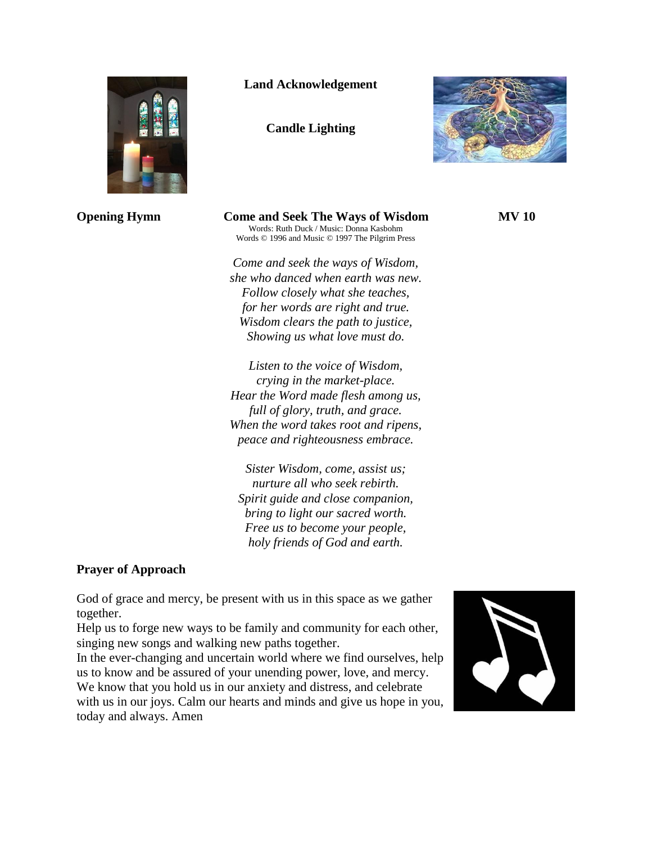

## **Land Acknowledgement**

#### **Candle Lighting**



**Opening Hymn Come and Seek The Ways of Wisdom MV 10** Words: Ruth Duck / Music: Donna Kasbohm Words © 1996 and Music © 1997 The Pilgrim Press

> *Come and seek the ways of Wisdom, she who danced when earth was new. Follow closely what she teaches, for her words are right and true. Wisdom clears the path to justice, Showing us what love must do.*

> *Listen to the voice of Wisdom, crying in the market-place. Hear the Word made flesh among us, full of glory, truth, and grace. When the word takes root and ripens, peace and righteousness embrace.*

*Sister Wisdom, come, assist us; nurture all who seek rebirth. Spirit guide and close companion, bring to light our sacred worth. Free us to become your people, holy friends of God and earth.*

### **Prayer of Approach**

God of grace and mercy, be present with us in this space as we gather together.

Help us to forge new ways to be family and community for each other, singing new songs and walking new paths together.

In the ever-changing and uncertain world where we find ourselves, help us to know and be assured of your unending power, love, and mercy. We know that you hold us in our anxiety and distress, and celebrate with us in our joys. Calm our hearts and minds and give us hope in you, today and always. Amen

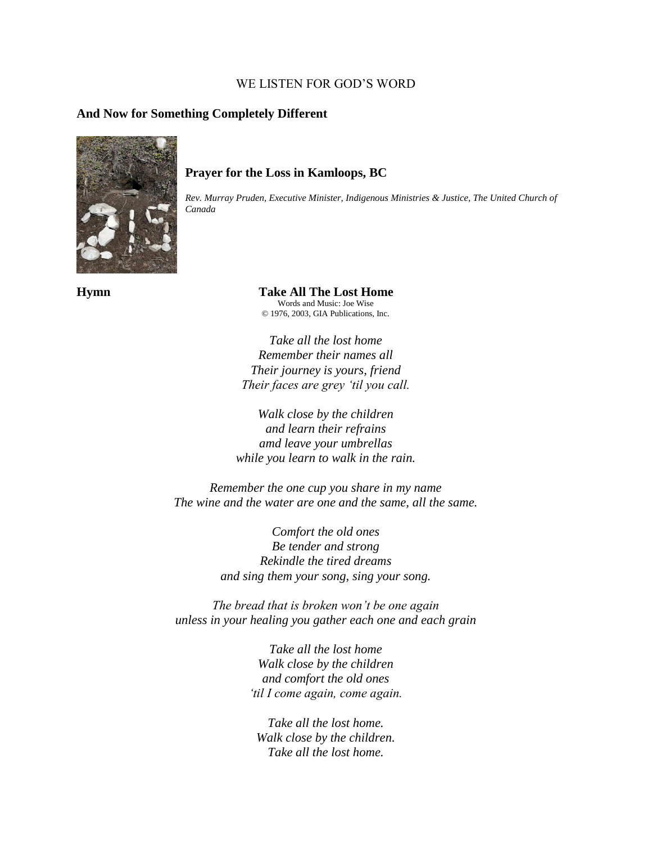#### WE LISTEN FOR GOD'S WORD

#### **And Now for Something Completely Different**



#### **Prayer for the Loss in Kamloops, BC**

*Rev. Murray Pruden, Executive Minister, Indigenous Ministries & Justice, The United Church of Canada*

**Hymn** Take All The Lost Home Words and Music: Joe Wise © 1976, 2003, GIA Publications, Inc.

> *Take all the lost home Remember their names all Their journey is yours, friend Their faces are grey 'til you call.*

*Walk close by the children and learn their refrains amd leave your umbrellas while you learn to walk in the rain.*

*Remember the one cup you share in my name The wine and the water are one and the same, all the same.*

> *Comfort the old ones Be tender and strong Rekindle the tired dreams and sing them your song, sing your song.*

*The bread that is broken won't be one again unless in your healing you gather each one and each grain*

> *Take all the lost home Walk close by the children and comfort the old ones 'til I come again, come again.*

*Take all the lost home. Walk close by the children. Take all the lost home.*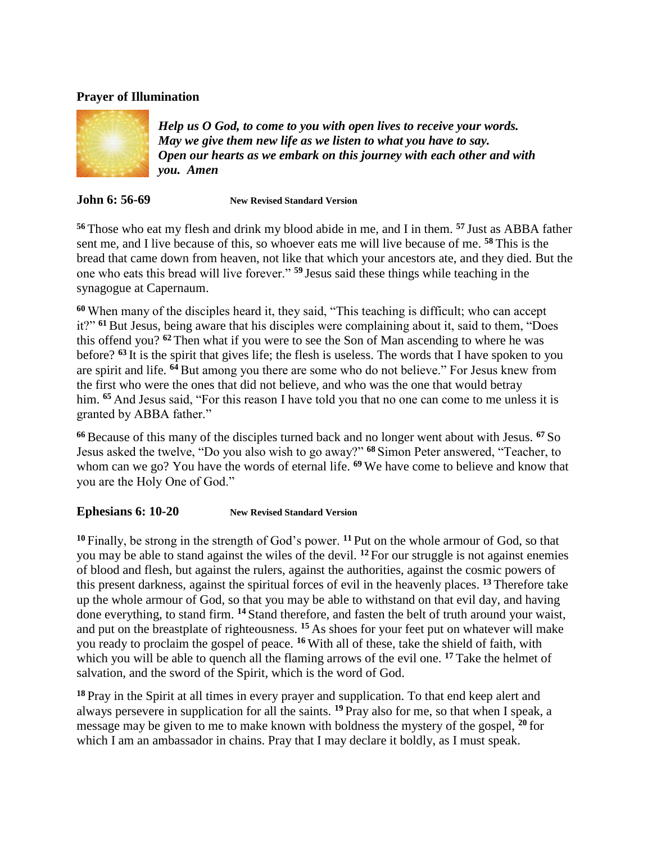### **Prayer of Illumination**



*Help us O God, to come to you with open lives to receive your words. May we give them new life as we listen to what you have to say. Open our hearts as we embark on this journey with each other and with you. Amen*

**John 6: 56-69 New Revised Standard Version**

**<sup>56</sup>** Those who eat my flesh and drink my blood abide in me, and I in them. **<sup>57</sup>** Just as ABBA father sent me, and I live because of this, so whoever eats me will live because of me. **<sup>58</sup>** This is the bread that came down from heaven, not like that which your ancestors ate, and they died. But the one who eats this bread will live forever." **<sup>59</sup>** Jesus said these things while teaching in the synagogue at Capernaum.

**<sup>60</sup>** When many of the disciples heard it, they said, "This teaching is difficult; who can accept it?" **<sup>61</sup>** But Jesus, being aware that his disciples were complaining about it, said to them, "Does this offend you? **<sup>62</sup>** Then what if you were to see the Son of Man ascending to where he was before? **<sup>63</sup>** It is the spirit that gives life; the flesh is useless. The words that I have spoken to you are spirit and life. **<sup>64</sup>** But among you there are some who do not believe." For Jesus knew from the first who were the ones that did not believe, and who was the one that would betray him. <sup>65</sup> And Jesus said, "For this reason I have told you that no one can come to me unless it is granted by ABBA father."

**<sup>66</sup>**Because of this many of the disciples turned back and no longer went about with Jesus. **<sup>67</sup>** So Jesus asked the twelve, "Do you also wish to go away?" **<sup>68</sup>** Simon Peter answered, "Teacher, to whom can we go? You have the words of eternal life. **<sup>69</sup>** We have come to believe and know that you are the Holy One of God."

#### **Ephesians 6: 10-20 New Revised Standard Version**

**<sup>10</sup>** Finally, be strong in the strength of God's power. **<sup>11</sup>** Put on the whole armour of God, so that you may be able to stand against the wiles of the devil. **<sup>12</sup>** For our struggle is not against enemies of blood and flesh, but against the rulers, against the authorities, against the cosmic powers of this present darkness, against the spiritual forces of evil in the heavenly places. **<sup>13</sup>** Therefore take up the whole armour of God, so that you may be able to withstand on that evil day, and having done everything, to stand firm. **<sup>14</sup>** Stand therefore, and fasten the belt of truth around your waist, and put on the breastplate of righteousness. **<sup>15</sup>** As shoes for your feet put on whatever will make you ready to proclaim the gospel of peace. **<sup>16</sup>** With all of these, take the shield of faith, with which you will be able to quench all the flaming arrows of the evil one. **<sup>17</sup>** Take the helmet of salvation, and the sword of the Spirit, which is the word of God.

**<sup>18</sup>** Pray in the Spirit at all times in every prayer and supplication. To that end keep alert and always persevere in supplication for all the saints. **<sup>19</sup>** Pray also for me, so that when I speak, a message may be given to me to make known with boldness the mystery of the gospel, **<sup>20</sup>** for which I am an ambassador in chains. Pray that I may declare it boldly, as I must speak.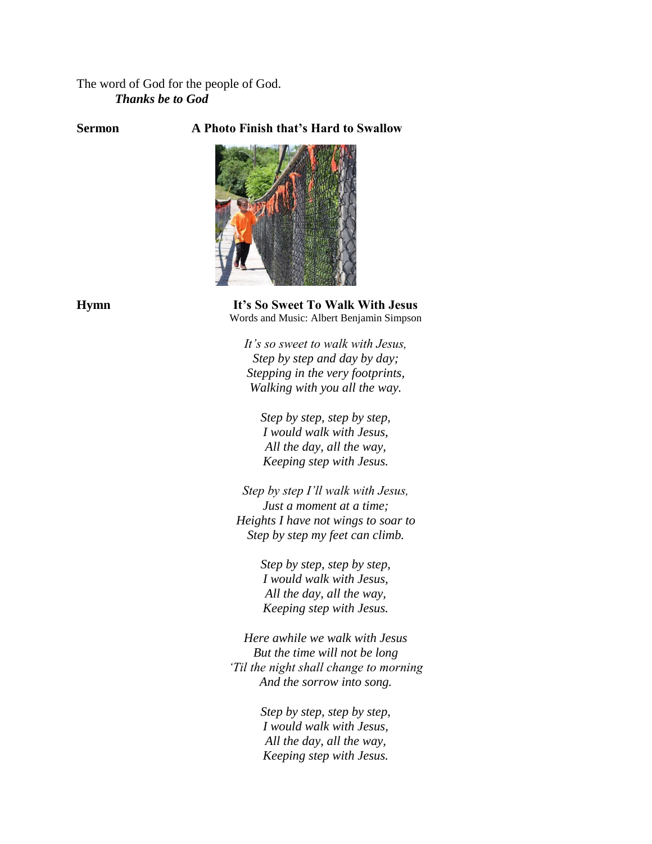The word of God for the people of God. *Thanks be to God*

#### **Sermon A Photo Finish that's Hard to Swallow**



**Hymn It's So Sweet To Walk With Jesus** Words and Music: Albert Benjamin Simpson

> *It's so sweet to walk with Jesus, Step by step and day by day; Stepping in the very footprints, Walking with you all the way.*

> > *Step by step, step by step, I would walk with Jesus, All the day, all the way, Keeping step with Jesus.*

*Step by step I'll walk with Jesus, Just a moment at a time; Heights I have not wings to soar to Step by step my feet can climb.* 

> *Step by step, step by step, I would walk with Jesus, All the day, all the way, Keeping step with Jesus.*

*Here awhile we walk with Jesus But the time will not be long 'Til the night shall change to morning And the sorrow into song.*

> *Step by step, step by step, I would walk with Jesus, All the day, all the way, Keeping step with Jesus.*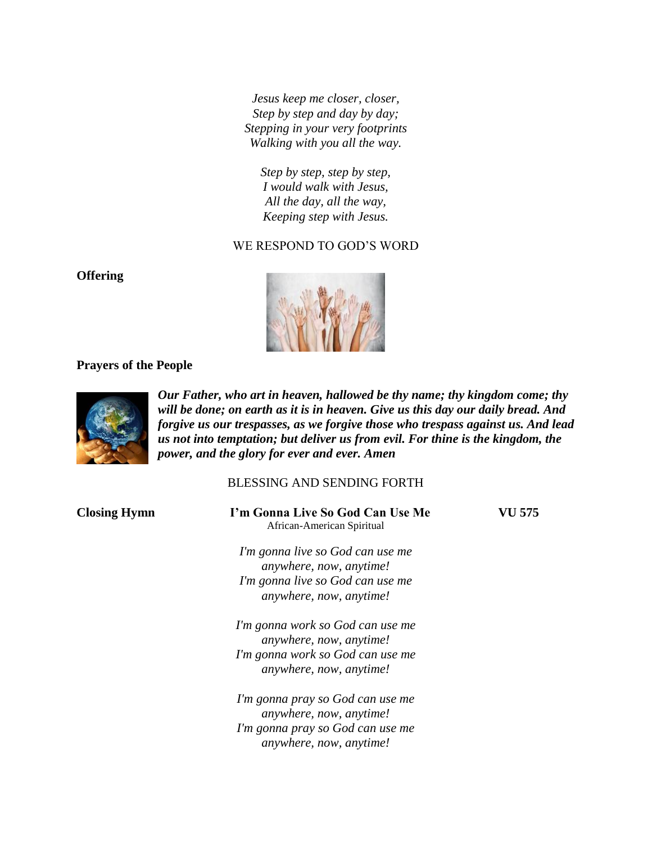*Jesus keep me closer, closer, Step by step and day by day; Stepping in your very footprints Walking with you all the way.*

*Step by step, step by step, I would walk with Jesus, All the day, all the way, Keeping step with Jesus.*

### WE RESPOND TO GOD'S WORD

**Offering**



#### **Prayers of the People**



*Our Father, who art in heaven, hallowed be thy name; thy kingdom come; thy will be done; on earth as it is in heaven. Give us this day our daily bread. And forgive us our trespasses, as we forgive those who trespass against us. And lead us not into temptation; but deliver us from evil. For thine is the kingdom, the power, and the glory for ever and ever. Amen*

## BLESSING AND SENDING FORTH

| I'm Gonna Live So God Can Use Me<br>African-American Spiritual | U 575                   |
|----------------------------------------------------------------|-------------------------|
| I'm gonna live so God can use me<br>anywhere, now, anytime!    |                         |
| I'm gonna live so God can use me<br>anywhere, now, anytime!    |                         |
| I'm gonna work so God can use me<br>anywhere, now, anytime!    |                         |
| I'm gonna work so God can use me<br>anywhere, now, anytime!    |                         |
| I'm gonna pray so God can use me                               |                         |
| I'm gonna pray so God can use me<br>anywhere, now, anytime!    |                         |
|                                                                | anywhere, now, anytime! |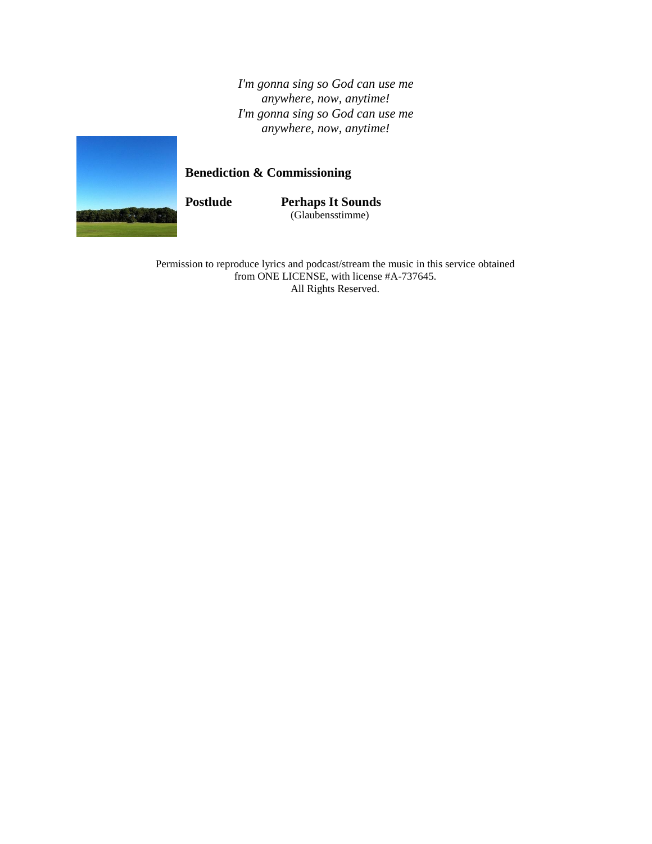*I'm gonna sing so God can use me anywhere, now, anytime! I'm gonna sing so God can use me anywhere, now, anytime!*



**Benediction & Commissioning**

**Postlude Perhaps It Sounds** (Glaubensstimme)

Permission to reproduce lyrics and podcast/stream the music in this service obtained from ONE LICENSE, with license #A-737645. All Rights Reserved.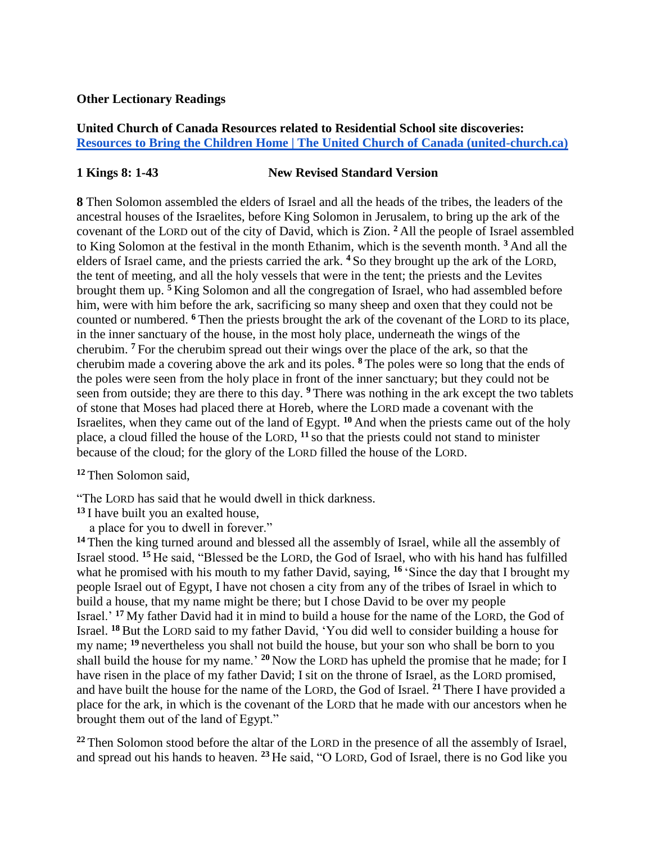### **Other Lectionary Readings**

### **United Church of Canada Resources related to Residential School site discoveries: [Resources to Bring the Children Home | The United Church of Canada \(united-church.ca\)](https://united-church.ca/news/resources-bring-children-home)**

### **1 Kings 8: 1-43 New Revised Standard Version**

**8** Then Solomon assembled the elders of Israel and all the heads of the tribes, the leaders of the ancestral houses of the Israelites, before King Solomon in Jerusalem, to bring up the ark of the covenant of the LORD out of the city of David, which is Zion. **<sup>2</sup>** All the people of Israel assembled to King Solomon at the festival in the month Ethanim, which is the seventh month. **<sup>3</sup>** And all the elders of Israel came, and the priests carried the ark. **<sup>4</sup>** So they brought up the ark of the LORD, the tent of meeting, and all the holy vessels that were in the tent; the priests and the Levites brought them up. **<sup>5</sup>** King Solomon and all the congregation of Israel, who had assembled before him, were with him before the ark, sacrificing so many sheep and oxen that they could not be counted or numbered. **<sup>6</sup>** Then the priests brought the ark of the covenant of the LORD to its place, in the inner sanctuary of the house, in the most holy place, underneath the wings of the cherubim. **<sup>7</sup>** For the cherubim spread out their wings over the place of the ark, so that the cherubim made a covering above the ark and its poles. **<sup>8</sup>** The poles were so long that the ends of the poles were seen from the holy place in front of the inner sanctuary; but they could not be seen from outside; they are there to this day. **<sup>9</sup>** There was nothing in the ark except the two tablets of stone that Moses had placed there at Horeb, where the LORD made a covenant with the Israelites, when they came out of the land of Egypt. **<sup>10</sup>** And when the priests came out of the holy place, a cloud filled the house of the LORD, **<sup>11</sup>** so that the priests could not stand to minister because of the cloud; for the glory of the LORD filled the house of the LORD.

**<sup>12</sup>** Then Solomon said,

"The LORD has said that he would dwell in thick darkness.

**<sup>13</sup>** I have built you an exalted house,

a place for you to dwell in forever."

<sup>14</sup> Then the king turned around and blessed all the assembly of Israel, while all the assembly of Israel stood. **<sup>15</sup>** He said, "Blessed be the LORD, the God of Israel, who with his hand has fulfilled what he promised with his mouth to my father David, saying, <sup>16</sup> 'Since the day that I brought my people Israel out of Egypt, I have not chosen a city from any of the tribes of Israel in which to build a house, that my name might be there; but I chose David to be over my people Israel.' **<sup>17</sup>** My father David had it in mind to build a house for the name of the LORD, the God of Israel. **<sup>18</sup>** But the LORD said to my father David, 'You did well to consider building a house for my name; **<sup>19</sup>** nevertheless you shall not build the house, but your son who shall be born to you shall build the house for my name.' **<sup>20</sup>** Now the LORD has upheld the promise that he made; for I have risen in the place of my father David; I sit on the throne of Israel, as the LORD promised, and have built the house for the name of the LORD, the God of Israel. **<sup>21</sup>** There I have provided a place for the ark, in which is the covenant of the LORD that he made with our ancestors when he brought them out of the land of Egypt."

<sup>22</sup> Then Solomon stood before the altar of the LORD in the presence of all the assembly of Israel, and spread out his hands to heaven. **<sup>23</sup>** He said, "O LORD, God of Israel, there is no God like you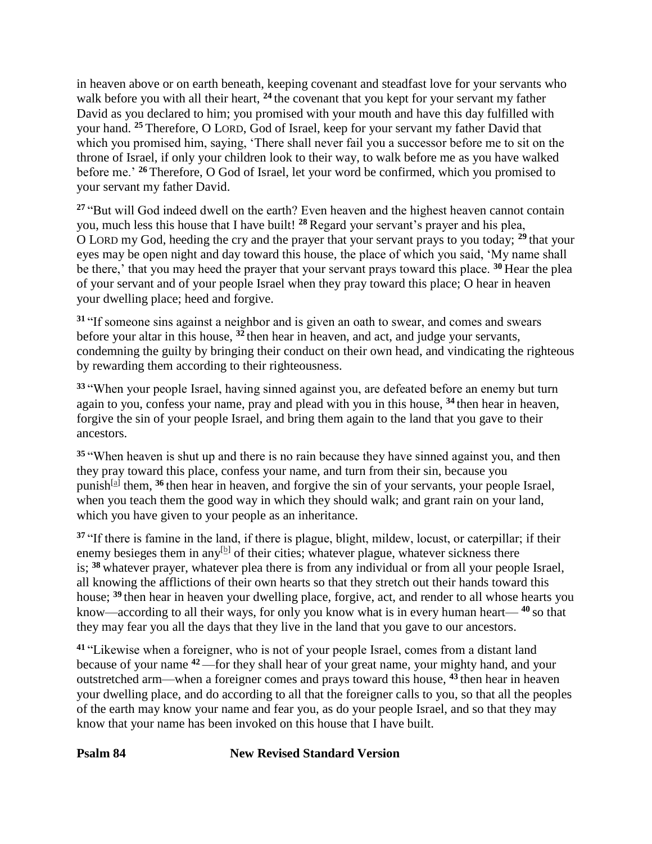in heaven above or on earth beneath, keeping covenant and steadfast love for your servants who walk before you with all their heart, <sup>24</sup> the covenant that you kept for your servant my father David as you declared to him; you promised with your mouth and have this day fulfilled with your hand. **<sup>25</sup>** Therefore, O LORD, God of Israel, keep for your servant my father David that which you promised him, saying, 'There shall never fail you a successor before me to sit on the throne of Israel, if only your children look to their way, to walk before me as you have walked before me.' **<sup>26</sup>** Therefore, O God of Israel, let your word be confirmed, which you promised to your servant my father David.

**<sup>27</sup>** "But will God indeed dwell on the earth? Even heaven and the highest heaven cannot contain you, much less this house that I have built! **<sup>28</sup>** Regard your servant's prayer and his plea, O LORD my God, heeding the cry and the prayer that your servant prays to you today; **<sup>29</sup>** that your eyes may be open night and day toward this house, the place of which you said, 'My name shall be there,' that you may heed the prayer that your servant prays toward this place. **<sup>30</sup>** Hear the plea of your servant and of your people Israel when they pray toward this place; O hear in heaven your dwelling place; heed and forgive.

**<sup>31</sup>** "If someone sins against a neighbor and is given an oath to swear, and comes and swears before your altar in this house, **<sup>32</sup>** then hear in heaven, and act, and judge your servants, condemning the guilty by bringing their conduct on their own head, and vindicating the righteous by rewarding them according to their righteousness.

**<sup>33</sup>** "When your people Israel, having sinned against you, are defeated before an enemy but turn again to you, confess your name, pray and plead with you in this house, **<sup>34</sup>** then hear in heaven, forgive the sin of your people Israel, and bring them again to the land that you gave to their ancestors.

**<sup>35</sup>** "When heaven is shut up and there is no rain because they have sinned against you, and then they pray toward this place, confess your name, and turn from their sin, because you punish<sup>[\[a\]](https://www.biblegateway.com/passage/?search=1+Kings+8%3A+1-43&version=NRSV#fen-NRSV-9021a)</sup> them, <sup>36</sup> then hear in heaven, and forgive the sin of your servants, your people Israel, when you teach them the good way in which they should walk; and grant rain on your land, which you have given to your people as an inheritance.

**<sup>37</sup>** "If there is famine in the land, if there is plague, blight, mildew, locust, or caterpillar; if their enemy besieges them in any<sup>[\[b\]](https://www.biblegateway.com/passage/?search=1+Kings+8%3A+1-43&version=NRSV#fen-NRSV-9023b)</sup> of their cities; whatever plague, whatever sickness there is; **<sup>38</sup>** whatever prayer, whatever plea there is from any individual or from all your people Israel, all knowing the afflictions of their own hearts so that they stretch out their hands toward this house; **<sup>39</sup>** then hear in heaven your dwelling place, forgive, act, and render to all whose hearts you know—according to all their ways, for only you know what is in every human heart— **<sup>40</sup>** so that they may fear you all the days that they live in the land that you gave to our ancestors.

**<sup>41</sup>** "Likewise when a foreigner, who is not of your people Israel, comes from a distant land because of your name **<sup>42</sup>**—for they shall hear of your great name, your mighty hand, and your outstretched arm—when a foreigner comes and prays toward this house, **<sup>43</sup>** then hear in heaven your dwelling place, and do according to all that the foreigner calls to you, so that all the peoples of the earth may know your name and fear you, as do your people Israel, and so that they may know that your name has been invoked on this house that I have built.

# **Psalm 84 New Revised Standard Version**